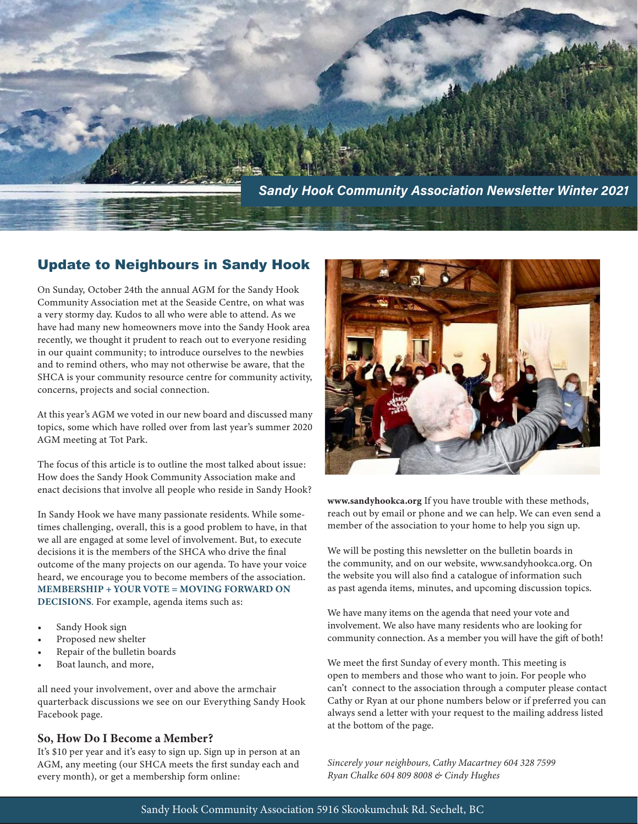

#### Update to Neighbours in Sandy Hook

On Sunday, October 24th the annual AGM for the Sandy Hook Community Association met at the Seaside Centre, on what was a very stormy day. Kudos to all who were able to attend. As we have had many new homeowners move into the Sandy Hook area recently, we thought it prudent to reach out to everyone residing in our quaint community; to introduce ourselves to the newbies and to remind others, who may not otherwise be aware, that the SHCA is your community resource centre for community activity, concerns, projects and social connection.

At this year's AGM we voted in our new board and discussed many topics, some which have rolled over from last year's summer 2020 AGM meeting at Tot Park.

The focus of this article is to outline the most talked about issue: How does the Sandy Hook Community Association make and enact decisions that involve all people who reside in Sandy Hook?

In Sandy Hook we have many passionate residents. While sometimes challenging, overall, this is a good problem to have, in that we all are engaged at some level of involvement. But, to execute decisions it is the members of the SHCA who drive the final outcome of the many projects on our agenda. To have your voice heard, we encourage you to become members of the association. MEMBERSHIP + YOUR VOTE = MOVING FORWARD ON DECISIONS. For example, agenda items such as:

- Sandy Hook sign
- Proposed new shelter
- Repair of the bulletin boards
- Boat launch, and more,

all need your involvement, over and above the armchair quarterback discussions we see on our Everything Sandy Hook Facebook page.

#### So, How Do I Become a Member?

It's \$10 per year and it's easy to sign up. Sign up in person at an AGM, any meeting (our SHCA meets the first sunday each and every month), or get a membership form online:



www.sandyhookca.org If you have trouble with these methods, reach out by email or phone and we can help. We can even send a member of the association to your home to help you sign up.

We will be posting this newsletter on the bulletin boards in the community, and on our website, www.sandyhookca.org. On the website you will also find a catalogue of information such as past agenda items, minutes, and upcoming discussion topics.

We have many items on the agenda that need your vote and involvement. We also have many residents who are looking for community connection. As a member you will have the gift of both!

We meet the first Sunday of every month. This meeting is open to members and those who want to join. For people who can't connect to the association through a computer please contact Cathy or Ryan at our phone numbers below or if preferred you can always send a letter with your request to the mailing address listed at the bottom of the page.

*Sincerely your neighbours, Cathy Macartney 604 328 7599 Ryan Chalke 604 809 8008 & Cindy Hughes*